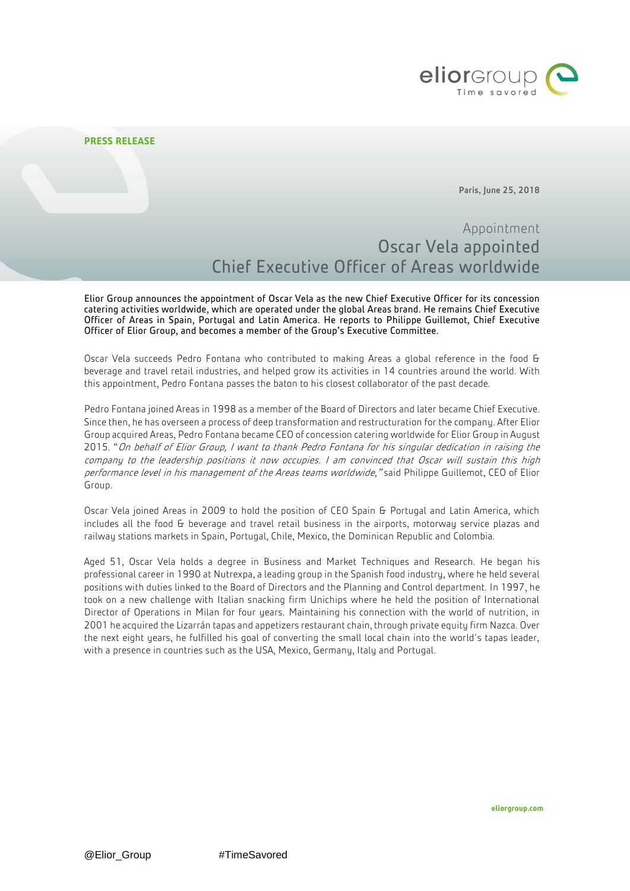

Paris, June 25, 2018

# Appointment Oscar Vela appointed Chief Executive Officer of Areas worldwide

Elior Group announces the appointment of Oscar Vela as the new Chief Executive Officer for its concession catering activities worldwide, which are operated under the global Areas brand. He remains Chief Executive Officer of Areas in Spain, Portugal and Latin America. He reports to Philippe Guillemot, Chief Executive Officer of Elior Group, and becomes a member of the Group's Executive Committee.

Oscar Vela succeeds Pedro Fontana who contributed to making Areas a global reference in the food & beverage and travel retail industries, and helped grow its activities in 14 countries around the world. With this appointment, Pedro Fontana passes the baton to his closest collaborator of the past decade.

Pedro Fontana joined Areas in 1998 as a member of the Board of Directors and later became Chief Executive. Since then, he has overseen a process of deep transformation and restructuration for the company. After Elior Group acquired Areas, Pedro Fontana became CEO of concession catering worldwide for Elior Group in August 2015. "On behalf of Elior Group, I want to thank Pedro Fontana for his singular dedication in raising the company to the leadership positions it now occupies. I am convinced that Oscar will sustain this high performance level in his management of the Areas teams worldwide," said Philippe Guillemot, CEO of Elior Group.

Oscar Vela joined Areas in 2009 to hold the position of CEO Spain & Portugal and Latin America, which includes all the food G beverage and travel retail business in the airports, motorway service plazas and railway stations markets in Spain, Portugal, Chile, Mexico, the Dominican Republic and Colombia.

Aged 51, Oscar Vela holds a degree in Business and Market Techniques and Research. He began his professional career in 1990 at Nutrexpa, a leading group in the Spanish food industry, where he held several positions with duties linked to the Board of Directors and the Planning and Control department. In 1997, he took on a new challenge with Italian snacking firm Unichips where he held the position of International Director of Operations in Milan for four years. Maintaining his connection with the world of nutrition, in 2001 he acquired the Lizarrán tapas and appetizers restaurant chain, through private equity firm Nazca. Over the next eight years, he fulfilled his goal of converting the small local chain into the world's tapas leader, with a presence in countries such as the USA, Mexico, Germany, Italy and Portugal.